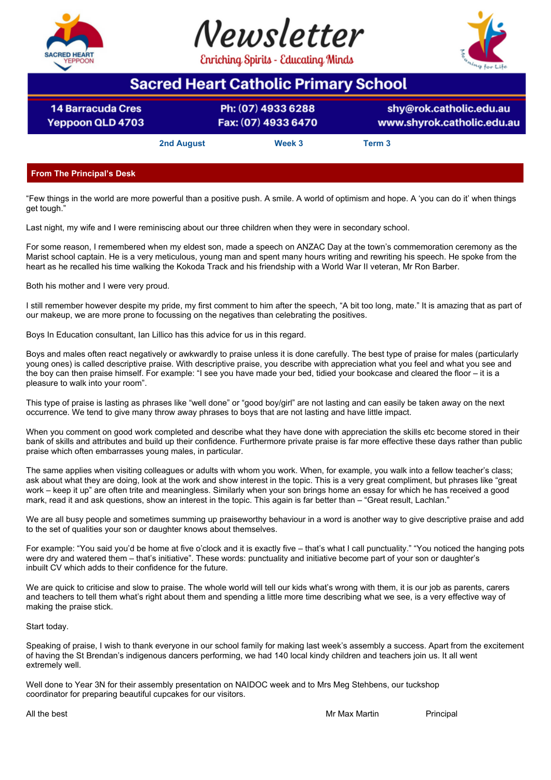





# **Sacred Heart Catholic Primary School**

**14 Barracuda Cres Yeppoon QLD 4703** 

Ph: (07) 4933 6288 Fax: (07) 4933 6470

shy@rok.catholic.edu.au www.shyrok.catholic.edu.au

**2nd August Week 3 Term 3**

## **From The Principal's Desk**

"Few things in the world are more powerful than a positive push. A smile. A world of optimism and hope. A 'you can do it' when things get tough."

Last night, my wife and I were reminiscing about our three children when they were in secondary school.

For some reason, I remembered when my eldest son, made a speech on ANZAC Day at the town's commemoration ceremony as the Marist school captain. He is a very meticulous, young man and spent many hours writing and rewriting his speech. He spoke from the heart as he recalled his time walking the Kokoda Track and his friendship with a World War II veteran, Mr Ron Barber.

Both his mother and I were very proud.

I still remember however despite my pride, my first comment to him after the speech, "A bit too long, mate." It is amazing that as part of our makeup, we are more prone to focussing on the negatives than celebrating the positives.

Boys In Education consultant, Ian Lillico has this advice for us in this regard.

Boys and males often react negatively or awkwardly to praise unless it is done carefully. The best type of praise for males (particularly young ones) is called descriptive praise. With descriptive praise, you describe with appreciation what you feel and what you see and the boy can then praise himself. For example: "I see you have made your bed, tidied your bookcase and cleared the floor – it is a pleasure to walk into your room".

This type of praise is lasting as phrases like "well done" or "good boy/girl" are not lasting and can easily be taken away on the next occurrence. We tend to give many throw away phrases to boys that are not lasting and have little impact.

When you comment on good work completed and describe what they have done with appreciation the skills etc become stored in their bank of skills and attributes and build up their confidence. Furthermore private praise is far more effective these days rather than public praise which often embarrasses young males, in particular.

The same applies when visiting colleagues or adults with whom you work. When, for example, you walk into a fellow teacher's class; ask about what they are doing, look at the work and show interest in the topic. This is a very great compliment, but phrases like "great work – keep it up" are often trite and meaningless. Similarly when your son brings home an essay for which he has received a good mark, read it and ask questions, show an interest in the topic. This again is far better than – "Great result, Lachlan."

We are all busy people and sometimes summing up praiseworthy behaviour in a word is another way to give descriptive praise and add to the set of qualities your son or daughter knows about themselves.

For example: "You said you'd be home at five o'clock and it is exactly five – that's what I call punctuality." "You noticed the hanging pots were dry and watered them – that's initiative". These words: punctuality and initiative become part of your son or daughter's inbuilt CV which adds to their confidence for the future.

We are quick to criticise and slow to praise. The whole world will tell our kids what's wrong with them, it is our job as parents, carers and teachers to tell them what's right about them and spending a little more time describing what we see, is a very effective way of making the praise stick.

## Start today.

Speaking of praise, I wish to thank everyone in our school family for making last week's assembly a success. Apart from the excitement of having the St Brendan's indigenous dancers performing, we had 140 local kindy children and teachers join us. It all went extremely well.

Well done to Year 3N for their assembly presentation on NAIDOC week and to Mrs Meg Stehbens, our tuckshop coordinator for preparing beautiful cupcakes for our visitors.

All the best **Mr Max Martin Principal** Principal All the best **Principal**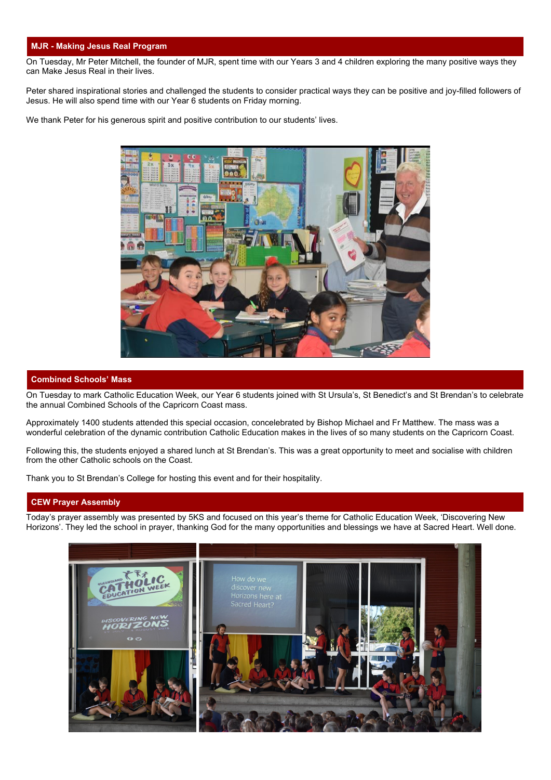## **MJR - Making Jesus Real Program**

On Tuesday, Mr Peter Mitchell, the founder of MJR, spent time with our Years 3 and 4 children exploring the many positive ways they can Make Jesus Real in their lives.

Peter shared inspirational stories and challenged the students to consider practical ways they can be positive and joy-filled followers of Jesus. He will also spend time with our Year 6 students on Friday morning.

We thank Peter for his generous spirit and positive contribution to our students' lives.



#### **Combined Schools' Mass**

On Tuesday to mark Catholic Education Week, our Year 6 students joined with St Ursula's, St Benedict's and St Brendan's to celebrate the annual Combined Schools of the Capricorn Coast mass.

Approximately 1400 students attended this special occasion, concelebrated by Bishop Michael and Fr Matthew. The mass was a wonderful celebration of the dynamic contribution Catholic Education makes in the lives of so many students on the Capricorn Coast.

Following this, the students enjoyed a shared lunch at St Brendan's. This was a great opportunity to meet and socialise with children from the other Catholic schools on the Coast.

Thank you to St Brendan's College for hosting this event and for their hospitality.

## **CEW Prayer Assembly**

Today's prayer assembly was presented by 5KS and focused on this year's theme for Catholic Education Week, 'Discovering New Horizons'. They led the school in prayer, thanking God for the many opportunities and blessings we have at Sacred Heart. Well done.

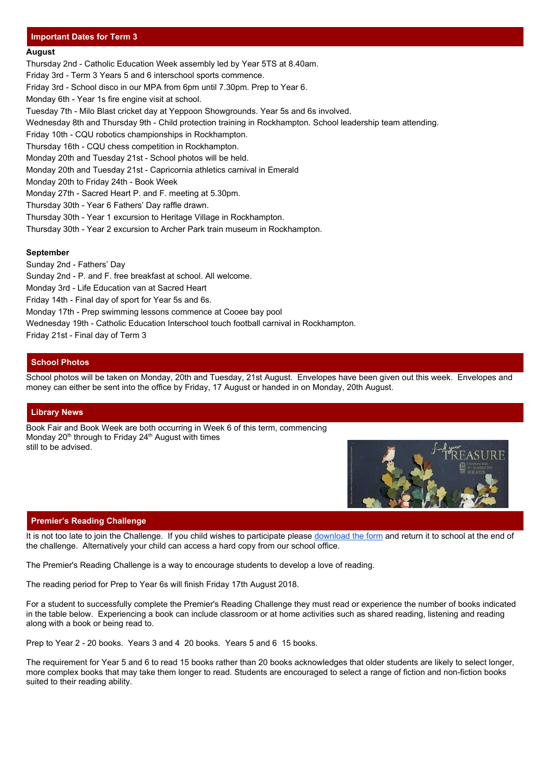## **Important Dates for Term 3**

#### **August**

Thursday 2nd - Catholic Education Week assembly led by Year 5TS at 8.40am. Friday 3rd - Term 3 Years 5 and 6 interschool sports commence. Friday 3rd - School disco in our MPA from 6pm until 7.30pm. Prep to Year 6. Monday 6th - Year 1s fire engine visit at school. Tuesday 7th - Milo Blast cricket day at Yeppoon Showgrounds. Year 5s and 6s involved. Wednesday 8th and Thursday 9th - Child protection training in Rockhampton. School leadership team attending. Friday 10th - CQU robotics championships in Rockhampton. Thursday 16th - CQU chess competition in Rockhampton. Monday 20th and Tuesday 21st - School photos will be held. Monday 20th and Tuesday 21st - Capricornia athletics carnival in Emerald Monday 20th to Friday 24th - Book Week Monday 27th - Sacred Heart P. and F. meeting at 5.30pm. Thursday 30th - Year 6 Fathers' Day raffle drawn. Thursday 30th - Year 1 excursion to Heritage Village in Rockhampton. Thursday 30th - Year 2 excursion to Archer Park train museum in Rockhampton.

## **September**

Sunday 2nd - Fathers' Day

Sunday 2nd - P. and F. free breakfast at school. All welcome.

Monday 3rd - Life Education van at Sacred Heart

Friday 14th - Final day of sport for Year 5s and 6s.

Monday 17th - Prep swimming lessons commence at Cooee bay pool

Wednesday 19th - Catholic Education Interschool touch football carnival in Rockhampton.

Friday 21st - Final day of Term 3

## **School Photos**

School photos will be taken on Monday, 20th and Tuesday, 21st August. Envelopes have been given out this week. Envelopes and money can either be sent into the office by Friday, 17 August or handed in on Monday, 20th August.

### **Library News**

Book Fair and Book Week are both occurring in Week 6 of this term, commencing Monday 20<sup>th</sup> through to Friday 24<sup>th</sup> August with times still to be advised.



### **Premier's Reading Challenge**

It is not too late to join the Challenge. If you child wishes to participate please [download the form](http://education.qld.gov.au/schools/readingchallenge/pdfs/prc-2017-school-reader-record-form.pdf) and return it to school at the end of the challenge. Alternatively your child can access a hard copy from our school office.

The Premier's Reading Challenge is a way to encourage students to develop a love of reading.

The reading period for Prep to Year 6s will finish Friday 17th August 2018.

For a student to successfully complete the Premier's Reading Challenge they must read or experience the number of books indicated in the table below. Experiencing a book can include classroom or at home activities such as shared reading, listening and reading along with a book or being read to.

Prep to Year 2 - 20 books. Years 3 and 4 20 books. Years 5 and 6 15 books.

The requirement for Year 5 and 6 to read 15 books rather than 20 books acknowledges that older students are likely to select longer, more complex books that may take them longer to read. Students are encouraged to select a range of fiction and non-fiction books suited to their reading ability.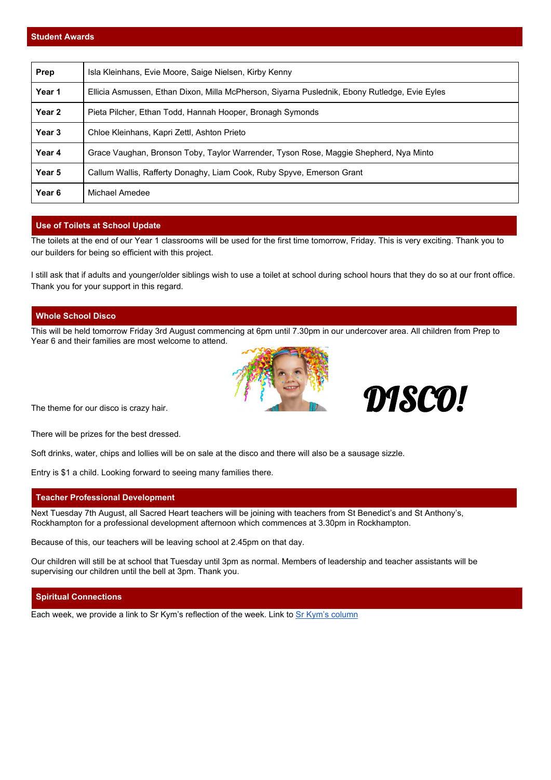| Prep   | Isla Kleinhans, Evie Moore, Saige Nielsen, Kirby Kenny                                        |
|--------|-----------------------------------------------------------------------------------------------|
| Year 1 | Ellicia Asmussen, Ethan Dixon, Milla McPherson, Siyarna Puslednik, Ebony Rutledge, Evie Eyles |
| Year 2 | Pieta Pilcher, Ethan Todd, Hannah Hooper, Bronagh Symonds                                     |
| Year 3 | Chloe Kleinhans, Kapri Zettl, Ashton Prieto                                                   |
| Year 4 | Grace Vaughan, Bronson Toby, Taylor Warrender, Tyson Rose, Maggie Shepherd, Nya Minto         |
| Year 5 | Callum Wallis, Rafferty Donaghy, Liam Cook, Ruby Spyve, Emerson Grant                         |
| Year 6 | Michael Amedee                                                                                |

## **Use of Toilets at School Update**

The toilets at the end of our Year 1 classrooms will be used for the first time tomorrow, Friday. This is very exciting. Thank you to our builders for being so efficient with this project.

I still ask that if adults and younger/older siblings wish to use a toilet at school during school hours that they do so at our front office. Thank you for your support in this regard.

## **Whole School Disco**

This will be held tomorrow Friday 3rd August commencing at 6pm until 7.30pm in our undercover area. All children from Prep to Year 6 and their families are most welcome to attend.





There will be prizes for the best dressed.

Soft drinks, water, chips and lollies will be on sale at the disco and there will also be a sausage sizzle.

Entry is \$1 a child. Looking forward to seeing many families there.

### **Teacher Professional Development**

Next Tuesday 7th August, all Sacred Heart teachers will be joining with teachers from St Benedict's and St Anthony's, Rockhampton for a professional development afternoon which commences at 3.30pm in Rockhampton.

Because of this, our teachers will be leaving school at 2.45pm on that day.

Our children will still be at school that Tuesday until 3pm as normal. Members of leadership and teacher assistants will be supervising our children until the bell at 3pm. Thank you.

#### **Spiritual Connections**

Each week, we provide a link to Sr Kym's reflection of the week. Link to [Sr Kym's column](https://drive.google.com/a/rok.catholic.edu.au/file/d/1qiF8myrvla5VLtkpFXqwfRlJHqpHE_dA/view?usp=sharing)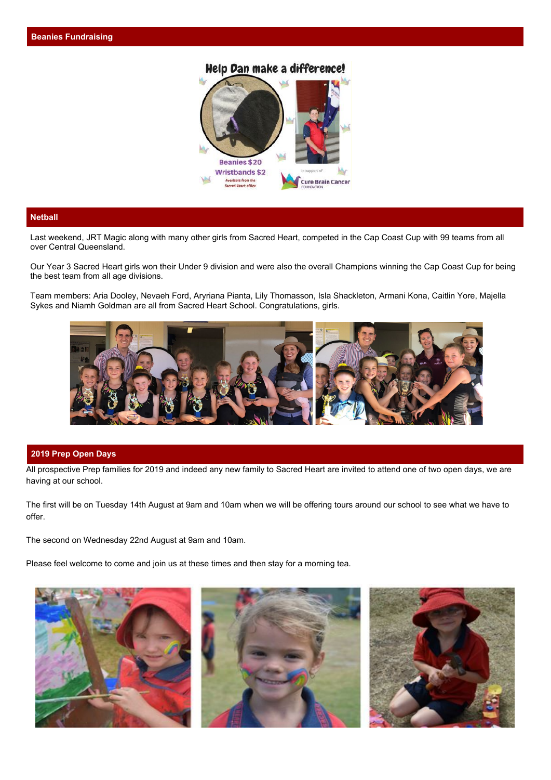## Help Dan make a difference!



## **Netball**

Last weekend, JRT Magic along with many other girls from Sacred Heart, competed in the Cap Coast Cup with 99 teams from all over Central Queensland.

Our Year 3 Sacred Heart girls won their Under 9 division and were also the overall Champions winning the Cap Coast Cup for being the best team from all age divisions.

Team members: Aria Dooley, Nevaeh Ford, Aryriana Pianta, Lily Thomasson, Isla Shackleton, Armani Kona, Caitlin Yore, Majella Sykes and Niamh Goldman are all from Sacred Heart School. Congratulations, girls.



#### **2019 Prep Open Days**

All prospective Prep families for 2019 and indeed any new family to Sacred Heart are invited to attend one of two open days, we are having at our school.

The first will be on Tuesday 14th August at 9am and 10am when we will be offering tours around our school to see what we have to offer.

The second on Wednesday 22nd August at 9am and 10am.

Please feel welcome to come and join us at these times and then stay for a morning tea.